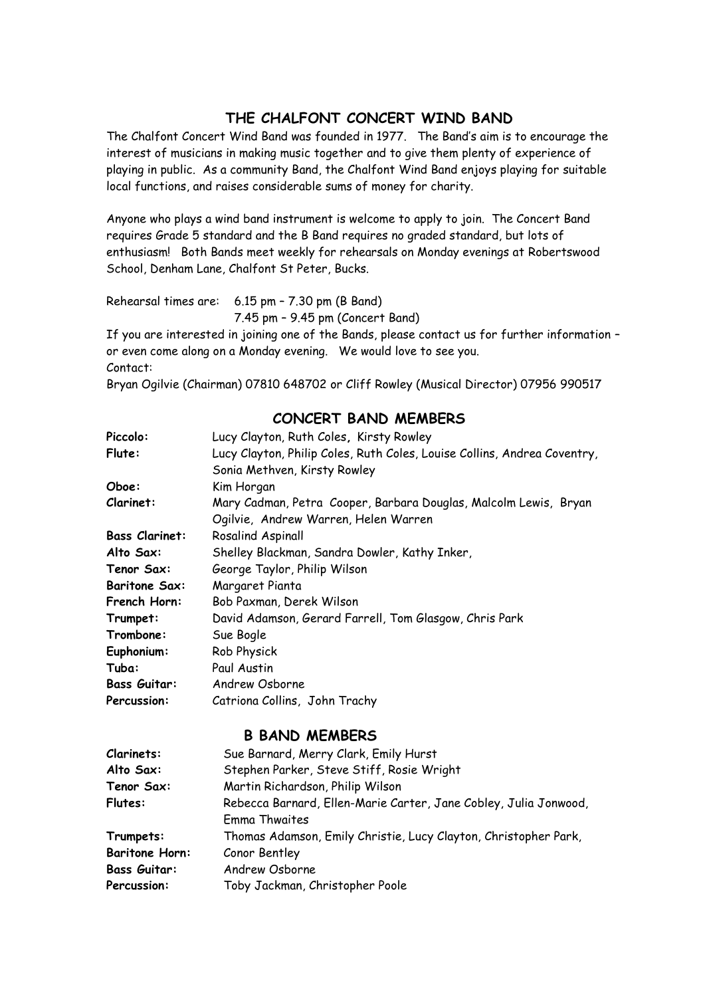### **THE CHALFONT CONCERT WIND BAND**

The Chalfont Concert Wind Band was founded in 1977. The Band's aim is to encourage the interest of musicians in making music together and to give them plenty of experience of playing in public. As a community Band, the Chalfont Wind Band enjoys playing for suitable local functions, and raises considerable sums of money for charity.

Anyone who plays a wind band instrument is welcome to apply to join. The Concert Band requires Grade 5 standard and the B Band requires no graded standard, but lots of enthusiasm! Both Bands meet weekly for rehearsals on Monday evenings at Robertswood School, Denham Lane, Chalfont St Peter, Bucks.

Rehearsal times are: 6.15 pm – 7.30 pm (B Band) 7.45 pm – 9.45 pm (Concert Band)

If you are interested in joining one of the Bands, please contact us for further information – or even come along on a Monday evening. We would love to see you. Contact:

Bryan Ogilvie (Chairman) 07810 648702 or Cliff Rowley (Musical Director) 07956 990517

| Piccolo:              | Lucy Clayton, Ruth Coles, Kirsty Rowley                                                                  |  |  |
|-----------------------|----------------------------------------------------------------------------------------------------------|--|--|
| Flute:                | Lucy Clayton, Philip Coles, Ruth Coles, Louise Collins, Andrea Coventry,<br>Sonia Methven, Kirsty Rowley |  |  |
| Oboe:                 | Kim Horgan                                                                                               |  |  |
| Clarinet:             | Mary Cadman, Petra Cooper, Barbara Douglas, Malcolm Lewis, Bryan<br>Ogilvie, Andrew Warren, Helen Warren |  |  |
| <b>Bass Clarinet:</b> | Rosalind Aspinall                                                                                        |  |  |
| Alto Sax:             | Shelley Blackman, Sandra Dowler, Kathy Inker,                                                            |  |  |
| Tenor Sax:            | George Taylor, Philip Wilson                                                                             |  |  |
| <b>Baritone Sax:</b>  | Margaret Pianta                                                                                          |  |  |
| French Horn:          | Bob Paxman, Derek Wilson                                                                                 |  |  |
| Trumpet:              | David Adamson, Gerard Farrell, Tom Glasgow, Chris Park                                                   |  |  |
| Trombone:             | Sue Bogle                                                                                                |  |  |
| Euphonium:            | Rob Physick                                                                                              |  |  |
| Tuba:                 | Paul Austin                                                                                              |  |  |
| <b>Bass Guitar:</b>   | Andrew Osborne                                                                                           |  |  |
| <b>Percussion:</b>    | Catriona Collins, John Trachy                                                                            |  |  |

### **CONCERT BAND MEMBERS**

### **B BAND MEMBERS**

| Clarinets:            | Sue Barnard, Merry Clark, Emily Hurst                                             |  |  |
|-----------------------|-----------------------------------------------------------------------------------|--|--|
| Alto Sax:             | Stephen Parker, Steve Stiff, Rosie Wright                                         |  |  |
| Tenor Sax:            | Martin Richardson, Philip Wilson                                                  |  |  |
| Flutes:               | Rebecca Barnard, Ellen-Marie Carter, Jane Cobley, Julia Jonwood,<br>Emma Thwaites |  |  |
| Trumpets:             | Thomas Adamson, Emily Christie, Lucy Clayton, Christopher Park,                   |  |  |
| <b>Baritone Horn:</b> | Conor Bentley                                                                     |  |  |
| <b>Bass Guitar:</b>   | Andrew Osborne                                                                    |  |  |
| Percussion:           | Toby Jackman, Christopher Poole                                                   |  |  |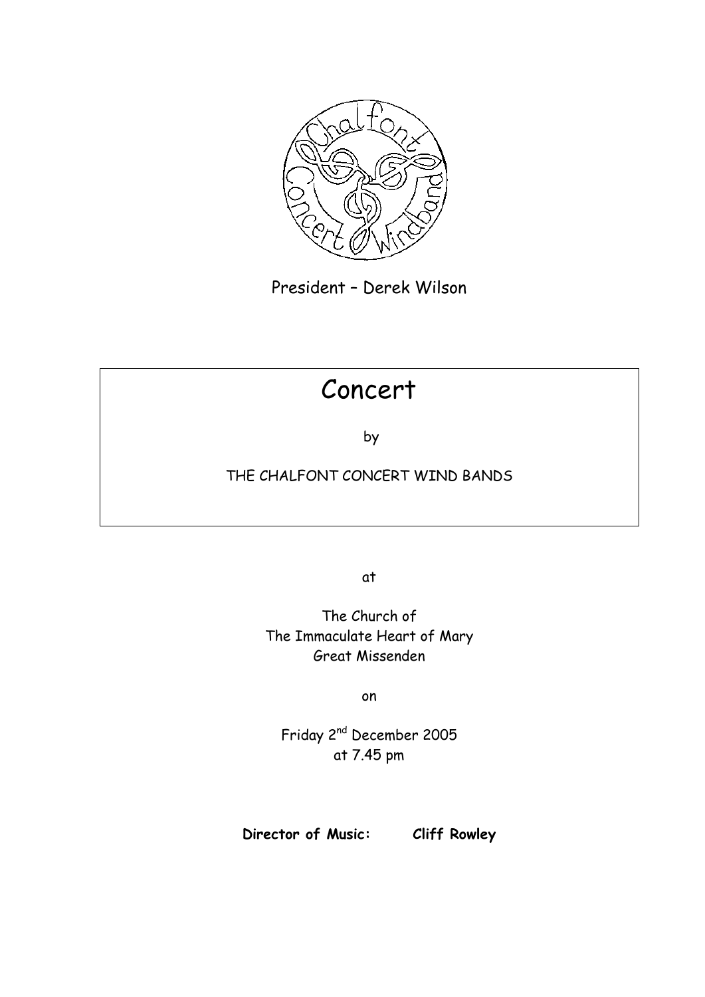

President – Derek Wilson

# Concert

by

### THE CHALFONT CONCERT WIND BANDS

at

The Church of The Immaculate Heart of Mary Great Missenden

on

Friday 2nd December 2005 at 7.45 pm

**Director of Music: Cliff Rowley**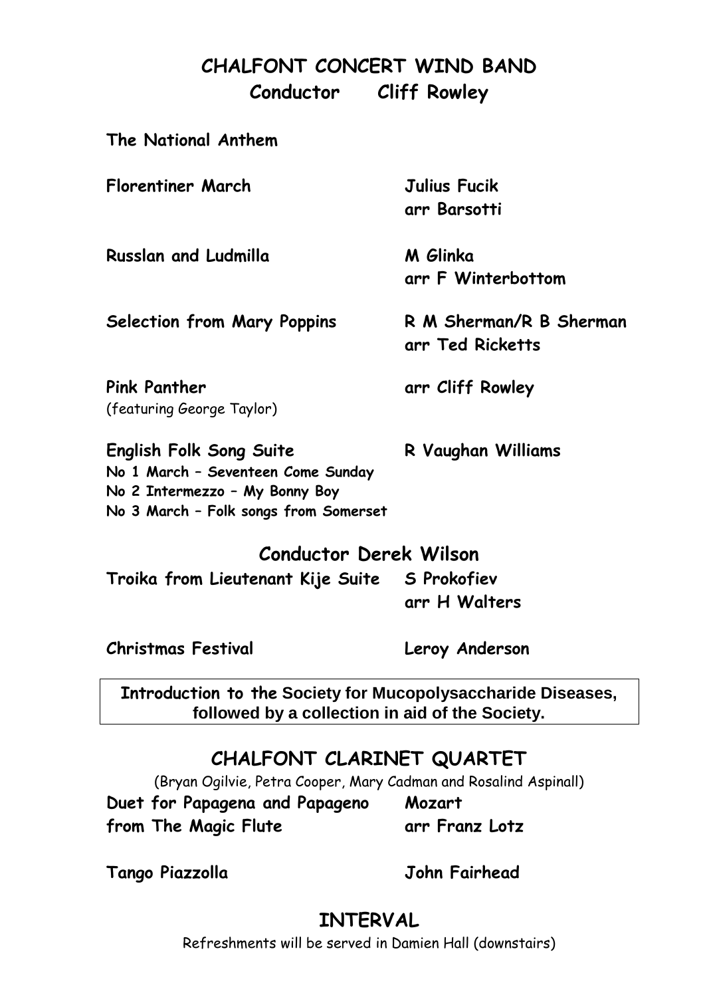# **CHALFONT CONCERT WIND BAND Conductor Cliff Rowley**

| The National Anthem                                                                                                                             |                                             |
|-------------------------------------------------------------------------------------------------------------------------------------------------|---------------------------------------------|
| Florentiner March                                                                                                                               | Julius Fucik<br>arr Barsotti                |
| <b>Russlan and Ludmilla</b>                                                                                                                     | M Glinka<br>arr F Winterbottom              |
| Selection from Mary Poppins                                                                                                                     | R M Sherman/R B Sherman<br>arr Ted Ricketts |
| Pink Panther<br>(featuring George Taylor)                                                                                                       | arr Cliff Rowley                            |
| <b>English Folk Song Suite</b><br>No 1 March - Seventeen Come Sunday<br>No 2 Intermezzo - My Bonny Boy<br>No 3 March - Folk songs from Somerset | R Vaughan Williams                          |

### **Conductor Derek Wilson**

**Troika from Lieutenant Kije Suite S Prokofiev arr H Walters**

**Christmas Festival Leroy Anderson**

**Introduction to the Society for Mucopolysaccharide Diseases, followed by a collection in aid of the Society.**

# **CHALFONT CLARINET QUARTET**

(Bryan Ogilvie, Petra Cooper, Mary Cadman and Rosalind Aspinall)

**Duet for Papagena and Papageno Mozart from The Magic Flute arr Franz Lotz**

**Tango Piazzolla John Fairhead**

# **INTERVAL**

Refreshments will be served in Damien Hall (downstairs)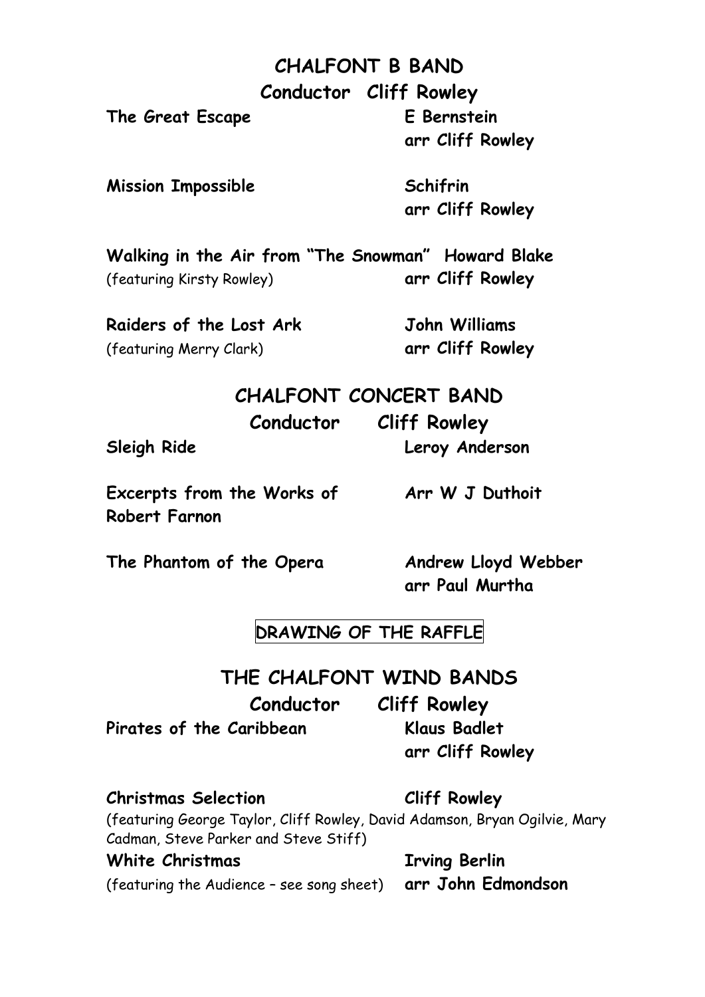# **CHALFONT B BAND**

**Conductor Cliff Rowley**

**The Great Escape E Bernstein**

**arr Cliff Rowley**

**Mission Impossible Schifrin**

**arr Cliff Rowley**

**Walking in the Air from "The Snowman" Howard Blake** (featuring Kirsty Rowley) **arr Cliff Rowley**

**Raiders of the Lost Ark John Williams** (featuring Merry Clark) **arr Cliff Rowley**

## **CHALFONT CONCERT BAND**

**Conductor Cliff Rowley**

**Sleigh Ride Leroy Anderson**

Excerpts from the Works of **Arr W** J Duthoit **Robert Farnon**

**The Phantom of the Opera Andrew Lloyd Webber**

**arr Paul Murtha**

### **DRAWING OF THE RAFFLE**

### **THE CHALFONT WIND BANDS**

**Conductor Cliff Rowley**

**Pirates of the Caribbean Klaus Badlet**

**arr Cliff Rowley**

**Christmas Selection Cliff Rowley**

(featuring George Taylor, Cliff Rowley, David Adamson, Bryan Ogilvie, Mary Cadman, Steve Parker and Steve Stiff)

### **White Christmas Irving Berlin**

(featuring the Audience – see song sheet) **arr John Edmondson**